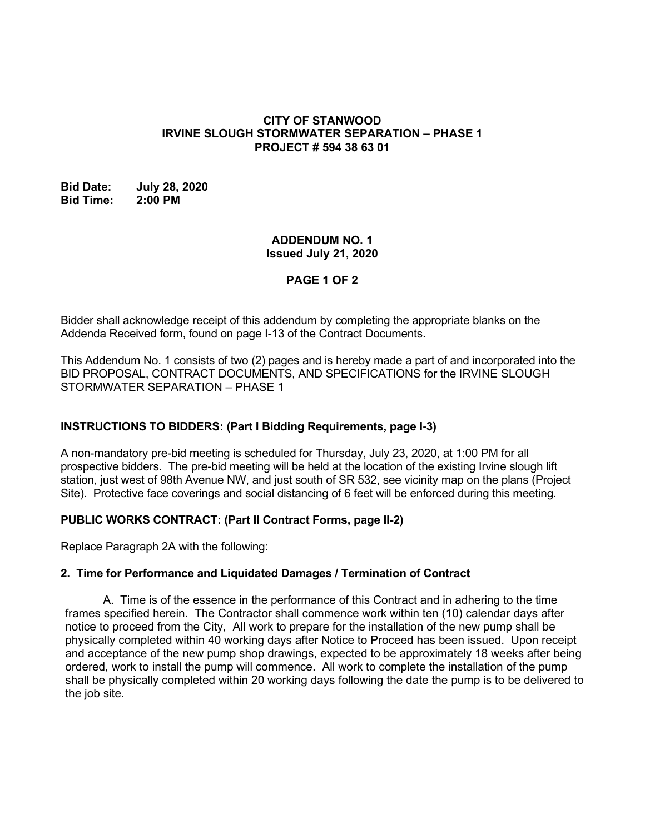#### **CITY OF STANWOOD IRVINE SLOUGH STORMWATER SEPARATION – PHASE 1 PROJECT # 594 38 63 01**

#### **Bid Date: July 28, 2020 Bid Time: 2:00 PM**

### **ADDENDUM NO. 1 Issued July 21, 2020**

# **PAGE 1 OF 2**

Bidder shall acknowledge receipt of this addendum by completing the appropriate blanks on the Addenda Received form, found on page I-13 of the Contract Documents.

This Addendum No. 1 consists of two (2) pages and is hereby made a part of and incorporated into the BID PROPOSAL, CONTRACT DOCUMENTS, AND SPECIFICATIONS for the IRVINE SLOUGH STORMWATER SEPARATION – PHASE 1

## **INSTRUCTIONS TO BIDDERS: (Part I Bidding Requirements, page I-3)**

A non-mandatory pre-bid meeting is scheduled for Thursday, July 23, 2020, at 1:00 PM for all prospective bidders. The pre-bid meeting will be held at the location of the existing Irvine slough lift station, just west of 98th Avenue NW, and just south of SR 532, see vicinity map on the plans (Project Site). Protective face coverings and social distancing of 6 feet will be enforced during this meeting.

## **PUBLIC WORKS CONTRACT: (Part II Contract Forms, page II-2)**

Replace Paragraph 2A with the following:

## **2. Time for Performance and Liquidated Damages / Termination of Contract**

A. Time is of the essence in the performance of this Contract and in adhering to the time frames specified herein. The Contractor shall commence work within ten (10) calendar days after notice to proceed from the City, All work to prepare for the installation of the new pump shall be physically completed within 40 working days after Notice to Proceed has been issued. Upon receipt and acceptance of the new pump shop drawings, expected to be approximately 18 weeks after being ordered, work to install the pump will commence. All work to complete the installation of the pump shall be physically completed within 20 working days following the date the pump is to be delivered to the job site.